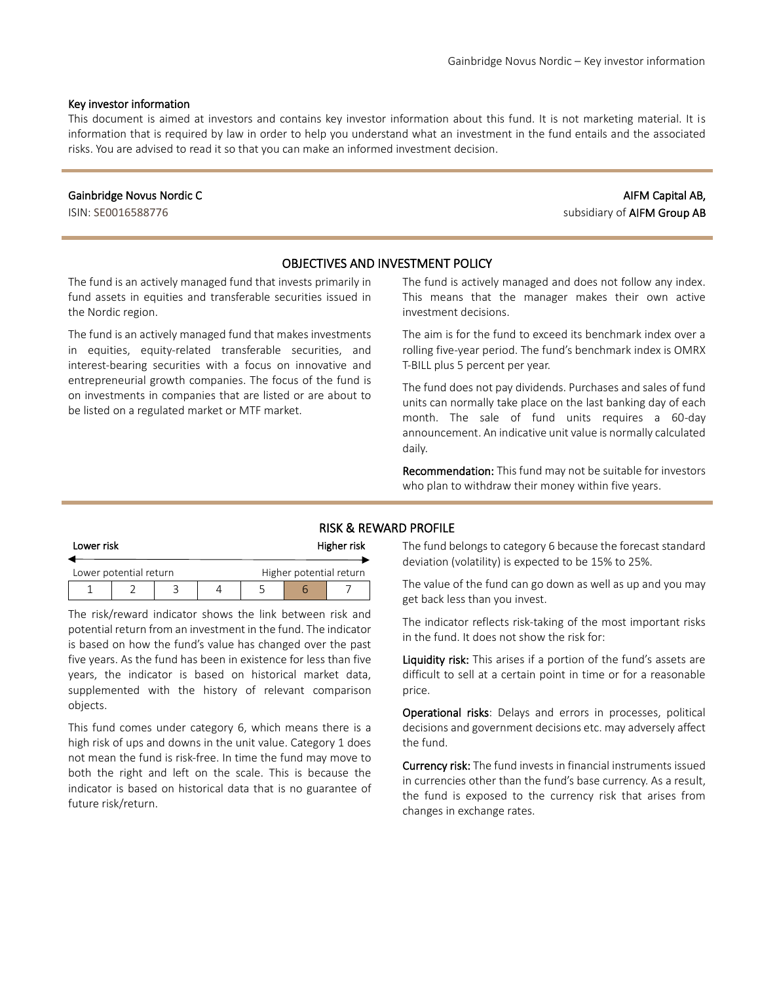#### Key investor information

This document is aimed at investors and contains key investor information about this fund. It is not marketing material. It is information that is required by law in order to help you understand what an investment in the fund entails and the associated risks. You are advised to read it so that you can make an informed investment decision.

#### Gainbridge Novus Nordic C

ISIN: SE0016588776

# AIFM Capital AB, subsidiary of AIFM Group AB

### OBJECTIVES AND INVESTMENT POLICY

The fund is an actively managed fund that invests primarily in fund assets in equities and transferable securities issued in the Nordic region.

The fund is an actively managed fund that makes investments in equities, equity-related transferable securities, and interest-bearing securities with a focus on innovative and entrepreneurial growth companies. The focus of the fund is on investments in companies that are listed or are about to be listed on a regulated market or MTF market.

The fund is actively managed and does not follow any index. This means that the manager makes their own active investment decisions.

The aim is for the fund to exceed its benchmark index over a rolling five-year period. The fund's benchmark index is OMRX T-BILL plus 5 percent per year.

The fund does not pay dividends. Purchases and sales of fund units can normally take place on the last banking day of each month. The sale of fund units requires a 60-day announcement. An indicative unit value is normally calculated daily.

Recommendation: This fund may not be suitable for investors who plan to withdraw their money within five years.

### RISK & REWARD PROFILE

| Lower risk |                        |  | Higher risk |  |                         |  |
|------------|------------------------|--|-------------|--|-------------------------|--|
|            | Lower potential return |  |             |  | Higher potential return |  |
|            |                        |  |             |  |                         |  |

The risk/reward indicator shows the link between risk and potential return from an investment in the fund. The indicator is based on how the fund's value has changed over the past five years. As the fund has been in existence for less than five years, the indicator is based on historical market data, supplemented with the history of relevant comparison objects.

This fund comes under category 6, which means there is a high risk of ups and downs in the unit value. Category 1 does not mean the fund is risk-free. In time the fund may move to both the right and left on the scale. This is because the indicator is based on historical data that is no guarantee of future risk/return.

The fund belongs to category 6 because the forecast standard deviation (volatility) is expected to be 15% to 25%.

The value of the fund can go down as well as up and you may get back less than you invest.

The indicator reflects risk-taking of the most important risks in the fund. It does not show the risk for:

Liquidity risk: This arises if a portion of the fund's assets are difficult to sell at a certain point in time or for a reasonable price.

Operational risks: Delays and errors in processes, political decisions and government decisions etc. may adversely affect the fund.

Currency risk: The fund invests in financial instruments issued in currencies other than the fund's base currency. As a result, the fund is exposed to the currency risk that arises from changes in exchange rates.